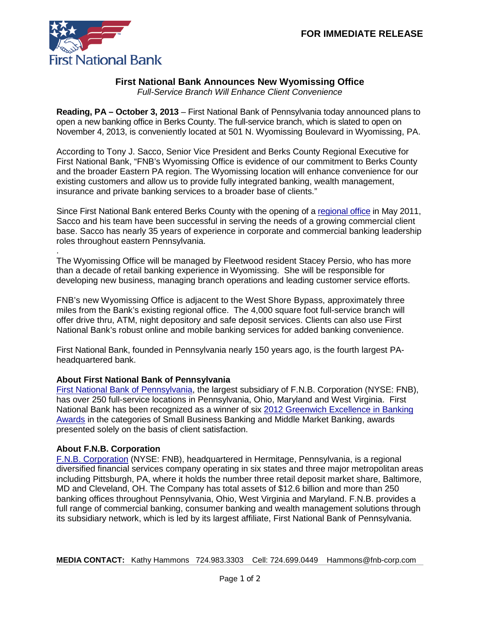

## **First National Bank Announces New Wyomissing Office**

*Full-Service Branch Will Enhance Client Convenience*

**Reading, PA – October 3, 2013** – First National Bank of Pennsylvania today announced plans to open a new banking office in Berks County. The full-service branch, which is slated to open on November 4, 2013, is conveniently located at 501 N. Wyomissing Boulevard in Wyomissing, PA.

According to Tony J. Sacco, Senior Vice President and Berks County Regional Executive for First National Bank, "FNB's Wyomissing Office is evidence of our commitment to Berks County and the broader Eastern PA region. The Wyomissing location will enhance convenience for our existing customers and allow us to provide fully integrated banking, wealth management, insurance and private banking services to a broader base of clients."

Since First National Bank entered Berks County with the opening of a [regional office](https://www.fnb-online.com/News/2011/May/May0220112.aspx) in May 2011, Sacco and his team have been successful in serving the needs of a growing commercial client base. Sacco has nearly 35 years of experience in corporate and commercial banking leadership roles throughout eastern Pennsylvania.

. The Wyomissing Office will be managed by Fleetwood resident Stacey Persio, who has more than a decade of retail banking experience in Wyomissing. She will be responsible for developing new business, managing branch operations and leading customer service efforts.

FNB's new Wyomissing Office is adjacent to the West Shore Bypass, approximately three miles from the Bank's existing regional office. The 4,000 square foot full-service branch will offer drive thru, ATM, night depository and safe deposit services. Clients can also use First National Bank's robust online and mobile banking services for added banking convenience.

First National Bank, founded in Pennsylvania nearly 150 years ago, is the fourth largest PAheadquartered bank.

## **About First National Bank of Pennsylvania**

[First National Bank of Pennsylvania,](https://www.fnb-online.com/) the largest subsidiary of F.N.B. Corporation (NYSE: FNB), has over 250 full-service locations in Pennsylvania, Ohio, Maryland and West Virginia. First National Bank has been recognized as a winner of six [2012 Greenwich Excellence in Banking](https://www.fnb-online.com/News/2013/February/February212013.aspx)  [Awards](https://www.fnb-online.com/News/2013/February/February212013.aspx) in the categories of Small Business Banking and Middle Market Banking, awards presented solely on the basis of client satisfaction.

## **About F.N.B. Corporation**

[F.N.B. Corporation](http://www.fnbcorporation.com/) (NYSE: FNB), headquartered in Hermitage, Pennsylvania, is a regional diversified financial services company operating in six states and three major metropolitan areas including Pittsburgh, PA, where it holds the number three retail deposit market share, Baltimore, MD and Cleveland, OH. The Company has total assets of \$12.6 billion and more than 250 banking offices throughout Pennsylvania, Ohio, West Virginia and Maryland. F.N.B. provides a full range of commercial banking, consumer banking and wealth management solutions through its subsidiary network, which is led by its largest affiliate, First National Bank of Pennsylvania.

**MEDIA CONTACT:** Kathy Hammons 724.983.3303 Cell: 724.699.0449 Hammons@fnb-corp.com